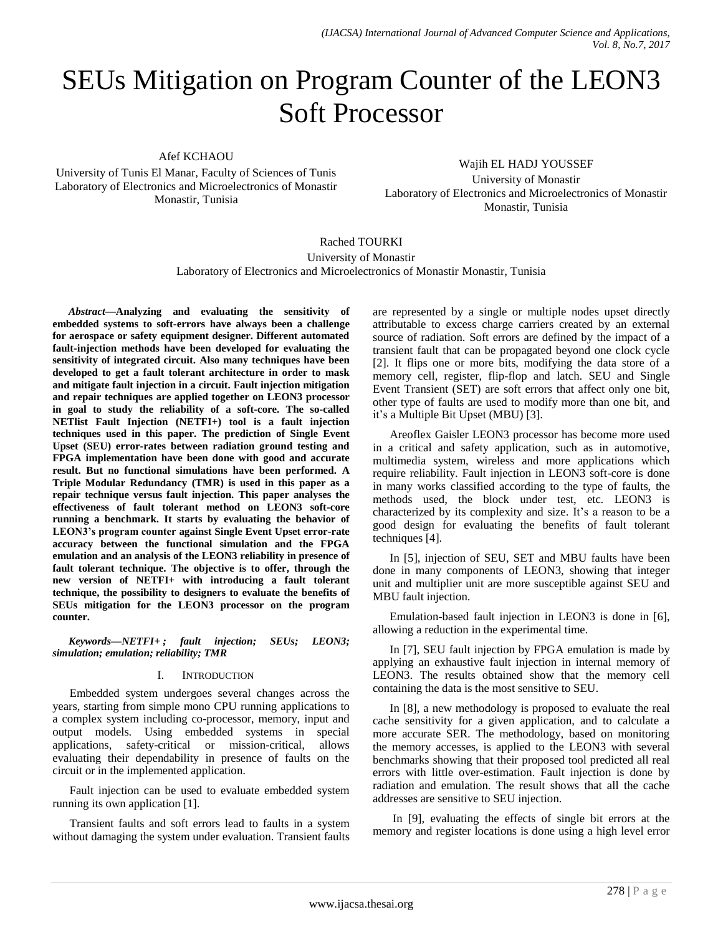# SEUs Mitigation on Program Counter of the LEON3 Soft Processor

Afef KCHAOU

University of Tunis El Manar, Faculty of Sciences of Tunis Laboratory of Electronics and Microelectronics of Monastir Monastir, Tunisia

Wajih EL HADJ YOUSSEF University of Monastir Laboratory of Electronics and Microelectronics of Monastir

Monastir, Tunisia

Rached TOURKI University of Monastir Laboratory of Electronics and Microelectronics of Monastir Monastir, Tunisia

*Abstract***—Analyzing and evaluating the sensitivity of embedded systems to soft-errors have always been a challenge for aerospace or safety equipment designer. Different automated fault-injection methods have been developed for evaluating the sensitivity of integrated circuit. Also many techniques have been developed to get a fault tolerant architecture in order to mask and mitigate fault injection in a circuit. Fault injection mitigation and repair techniques are applied together on LEON3 processor in goal to study the reliability of a soft-core. The so-called NETlist Fault Injection (NETFI+) tool is a fault injection techniques used in this paper. The prediction of Single Event Upset (SEU) error-rates between radiation ground testing and FPGA implementation have been done with good and accurate result. But no functional simulations have been performed. A Triple Modular Redundancy (TMR) is used in this paper as a repair technique versus fault injection. This paper analyses the effectiveness of fault tolerant method on LEON3 soft-core running a benchmark. It starts by evaluating the behavior of LEON3's program counter against Single Event Upset error-rate accuracy between the functional simulation and the FPGA emulation and an analysis of the LEON3 reliability in presence of fault tolerant technique. The objective is to offer, through the new version of NETFI+ with introducing a fault tolerant technique, the possibility to designers to evaluate the benefits of SEUs mitigation for the LEON3 processor on the program counter.**

*Keywords—NETFI+ ; fault injection; SEUs; LEON3; simulation; emulation; reliability; TMR*

## I. INTRODUCTION

Embedded system undergoes several changes across the years, starting from simple mono CPU running applications to a complex system including co-processor, memory, input and output models. Using embedded systems in special applications, safety-critical or mission-critical, allows evaluating their dependability in presence of faults on the circuit or in the implemented application.

Fault injection can be used to evaluate embedded system running its own application [1].

Transient faults and soft errors lead to faults in a system without damaging the system under evaluation. Transient faults are represented by a single or multiple nodes upset directly attributable to excess charge carriers created by an external source of radiation. Soft errors are defined by the impact of a transient fault that can be propagated beyond one clock cycle [2]. It flips one or more bits, modifying the data store of a memory cell, register, flip-flop and latch. SEU and Single Event Transient (SET) are soft errors that affect only one bit, other type of faults are used to modify more than one bit, and it"s a Multiple Bit Upset (MBU) [3].

Areoflex Gaisler LEON3 processor has become more used in a critical and safety application, such as in automotive, multimedia system, wireless and more applications which require reliability. Fault injection in LEON3 soft-core is done in many works classified according to the type of faults, the methods used, the block under test, etc. LEON3 is characterized by its complexity and size. It's a reason to be a good design for evaluating the benefits of fault tolerant techniques [4].

In [5], injection of SEU, SET and MBU faults have been done in many components of LEON3, showing that integer unit and multiplier unit are more susceptible against SEU and MBU fault injection.

Emulation-based fault injection in LEON3 is done in [6], allowing a reduction in the experimental time.

In [7], SEU fault injection by FPGA emulation is made by applying an exhaustive fault injection in internal memory of LEON3. The results obtained show that the memory cell containing the data is the most sensitive to SEU.

In [8], a new methodology is proposed to evaluate the real cache sensitivity for a given application, and to calculate a more accurate SER. The methodology, based on monitoring the memory accesses, is applied to the LEON3 with several benchmarks showing that their proposed tool predicted all real errors with little over-estimation. Fault injection is done by radiation and emulation. The result shows that all the cache addresses are sensitive to SEU injection.

In [9], evaluating the effects of single bit errors at the memory and register locations is done using a high level error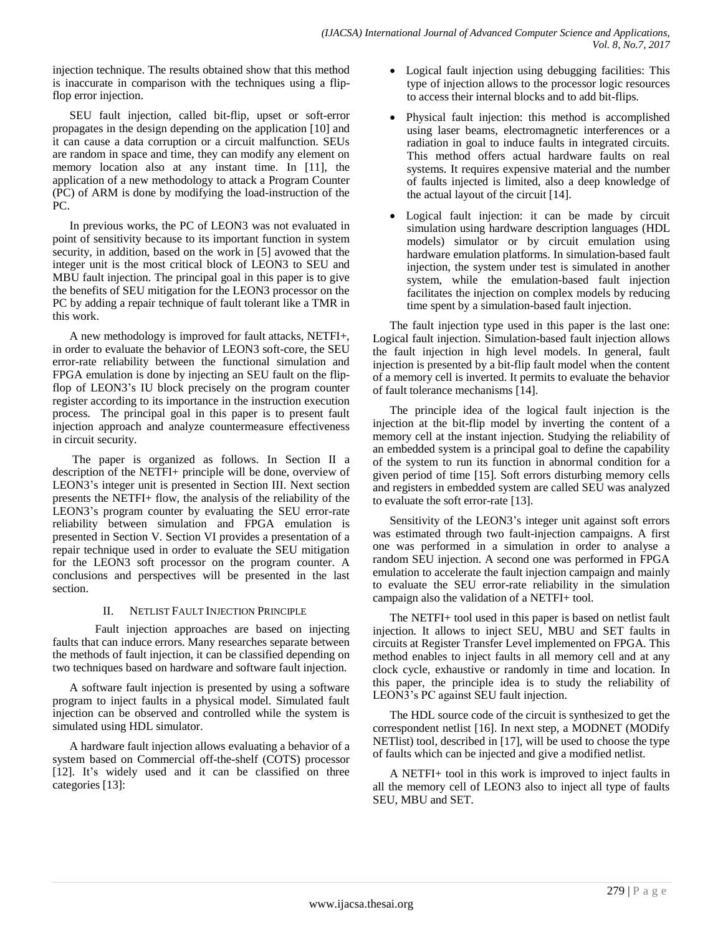injection technique. The results obtained show that this method is inaccurate in comparison with the techniques using a flipflop error injection.

SEU fault injection, called bit-flip, upset or soft-error propagates in the design depending on the application [10] and it can cause a data corruption or a circuit malfunction. SEUs are random in space and time, they can modify any element on memory location also at any instant time. In [11], the application of a new methodology to attack a Program Counter (PC) of ARM is done by modifying the load-instruction of the PC.

In previous works, the PC of LEON3 was not evaluated in point of sensitivity because to its important function in system security, in addition, based on the work in [5] avowed that the integer unit is the most critical block of LEON3 to SEU and MBU fault injection. The principal goal in this paper is to give the benefits of SEU mitigation for the LEON3 processor on the PC by adding a repair technique of fault tolerant like a TMR in this work.

A new methodology is improved for fault attacks, NETFI+, in order to evaluate the behavior of LEON3 soft-core, the SEU error-rate reliability between the functional simulation and FPGA emulation is done by injecting an SEU fault on the flipflop of LEON3"s IU block precisely on the program counter register according to its importance in the instruction execution process. The principal goal in this paper is to present fault injection approach and analyze countermeasure effectiveness in circuit security.

The paper is organized as follows. In Section II a description of the NETFI+ principle will be done, overview of LEON3"s integer unit is presented in Section III. Next section presents the NETFI+ flow, the analysis of the reliability of the LEON3"s program counter by evaluating the SEU error-rate reliability between simulation and FPGA emulation is presented in Section V. Section VI provides a presentation of a repair technique used in order to evaluate the SEU mitigation for the LEON3 soft processor on the program counter. A conclusions and perspectives will be presented in the last section.

# II. NETLIST FAULT INJECTION PRINCIPLE

Fault injection approaches are based on injecting faults that can induce errors. Many researches separate between the methods of fault injection, it can be classified depending on two techniques based on hardware and software fault injection.

A software fault injection is presented by using a software program to inject faults in a physical model. Simulated fault injection can be observed and controlled while the system is simulated using HDL simulator.

A hardware fault injection allows evaluating a behavior of a system based on Commercial off-the-shelf (COTS) processor [12]. It's widely used and it can be classified on three categories [13]:

- Logical fault injection using debugging facilities: This type of injection allows to the processor logic resources to access their internal blocks and to add bit-flips.
- Physical fault injection: this method is accomplished using laser beams, electromagnetic interferences or a radiation in goal to induce faults in integrated circuits. This method offers actual hardware faults on real systems. It requires expensive material and the number of faults injected is limited, also a deep knowledge of the actual layout of the circuit [14].
- Logical fault injection: it can be made by circuit simulation using hardware description languages (HDL models) simulator or by circuit emulation using hardware emulation platforms. In simulation-based fault injection, the system under test is simulated in another system, while the emulation-based fault injection facilitates the injection on complex models by reducing time spent by a simulation-based fault injection.

The fault injection type used in this paper is the last one: Logical fault injection. Simulation-based fault injection allows the fault injection in high level models. In general, fault injection is presented by a bit-flip fault model when the content of a memory cell is inverted. It permits to evaluate the behavior of fault tolerance mechanisms [14].

The principle idea of the logical fault injection is the injection at the bit-flip model by inverting the content of a memory cell at the instant injection. Studying the reliability of an embedded system is a principal goal to define the capability of the system to run its function in abnormal condition for a given period of time [15]. Soft errors disturbing memory cells and registers in embedded system are called SEU was analyzed to evaluate the soft error-rate [13].

Sensitivity of the LEON3's integer unit against soft errors was estimated through two fault-injection campaigns. A first one was performed in a simulation in order to analyse a random SEU injection. A second one was performed in FPGA emulation to accelerate the fault injection campaign and mainly to evaluate the SEU error-rate reliability in the simulation campaign also the validation of a NETFI+ tool.

The NETFI+ tool used in this paper is based on netlist fault injection. It allows to inject SEU, MBU and SET faults in circuits at Register Transfer Level implemented on FPGA. This method enables to inject faults in all memory cell and at any clock cycle, exhaustive or randomly in time and location. In this paper, the principle idea is to study the reliability of LEON3"s PC against SEU fault injection.

The HDL source code of the circuit is synthesized to get the correspondent netlist [16]. In next step, a MODNET (MODify NETlist) tool, described in [17], will be used to choose the type of faults which can be injected and give a modified netlist.

A NETFI+ tool in this work is improved to inject faults in all the memory cell of LEON3 also to inject all type of faults SEU, MBU and SET.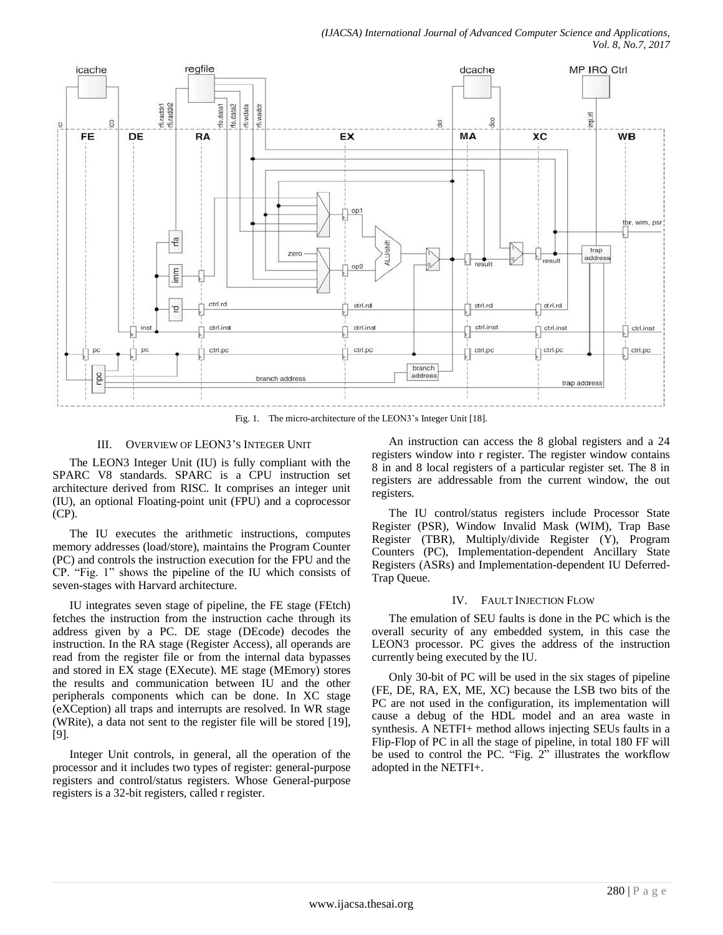

Fig. 1. The micro-architecture of the LEON3's Integer Unit [18].

# III. OVERVIEW OF LEON3"S INTEGER UNIT

The LEON3 Integer Unit (IU) is fully compliant with the SPARC V8 standards. SPARC is a CPU instruction set architecture derived from RISC. It comprises an integer unit (IU), an optional Floating-point unit (FPU) and a coprocessor (CP).

The IU executes the arithmetic instructions, computes memory addresses (load/store), maintains the Program Counter (PC) and controls the instruction execution for the FPU and the CP. "Fig. 1" shows the pipeline of the IU which consists of seven-stages with Harvard architecture.

IU integrates seven stage of pipeline, the FE stage (FEtch) fetches the instruction from the instruction cache through its address given by a PC. DE stage (DEcode) decodes the instruction. In the RA stage (Register Access), all operands are read from the register file or from the internal data bypasses and stored in EX stage (EXecute). ME stage (MEmory) stores the results and communication between IU and the other peripherals components which can be done. In XC stage (eXCeption) all traps and interrupts are resolved. In WR stage (WRite), a data not sent to the register file will be stored [19], [9].

Integer Unit controls, in general, all the operation of the processor and it includes two types of register: general-purpose registers and control/status registers. Whose General-purpose registers is a 32-bit registers, called r register.

An instruction can access the 8 global registers and a 24 registers window into r register. The register window contains 8 in and 8 local registers of a particular register set. The 8 in registers are addressable from the current window, the out registers.

The IU control/status registers include Processor State Register (PSR), Window Invalid Mask (WIM), Trap Base Register (TBR), Multiply/divide Register (Y), Program Counters (PC), Implementation-dependent Ancillary State Registers (ASRs) and Implementation-dependent IU Deferred-Trap Queue.

## IV. FAULT INJECTION FLOW

The emulation of SEU faults is done in the PC which is the overall security of any embedded system, in this case the LEON3 processor. PC gives the address of the instruction currently being executed by the IU.

Only 30-bit of PC will be used in the six stages of pipeline (FE, DE, RA, EX, ME, XC) because the LSB two bits of the PC are not used in the configuration, its implementation will cause a debug of the HDL model and an area waste in synthesis. A NETFI+ method allows injecting SEUs faults in a Flip-Flop of PC in all the stage of pipeline, in total 180 FF will be used to control the PC. "Fig. 2" illustrates the workflow adopted in the NETFI+.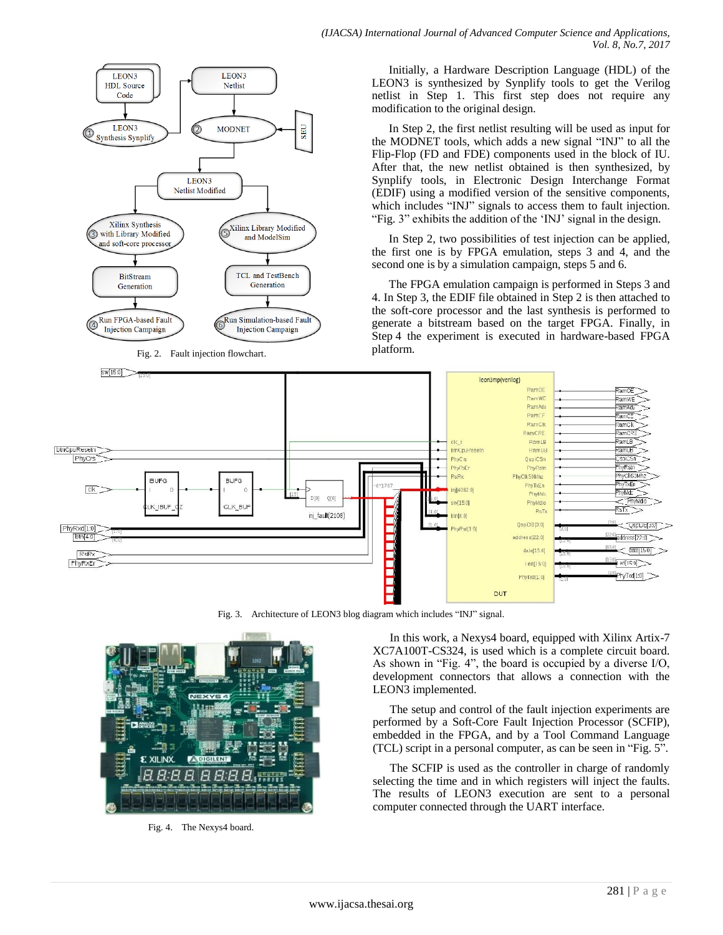

Initially, a Hardware Description Language (HDL) of the LEON3 is synthesized by Synplify tools to get the Verilog netlist in Step 1. This first step does not require any modification to the original design.

In Step 2, the first netlist resulting will be used as input for the MODNET tools, which adds a new signal "INJ" to all the Flip-Flop (FD and FDE) components used in the block of IU. After that, the new netlist obtained is then synthesized, by Synplify tools, in Electronic Design Interchange Format (EDIF) using a modified version of the sensitive components, which includes "INJ" signals to access them to fault injection. "Fig. 3" exhibits the addition of the "INJ" signal in the design.

In Step 2, two possibilities of test injection can be applied, the first one is by FPGA emulation, steps 3 and 4, and the second one is by a simulation campaign, steps 5 and 6.

The FPGA emulation campaign is performed in Steps 3 and 4. In Step 3, the EDIF file obtained in Step 2 is then attached to the soft-core processor and the last synthesis is performed to generate a bitstream based on the target FPGA. Finally, in Step 4 the experiment is executed in hardware-based FPGA platform.



Fig. 3. Architecture of LEON3 blog diagram which includes "INJ" signal.



Fig. 4. The Nexys4 board.

In this work, a Nexys4 board, equipped with Xilinx Artix-7 XC7A100T-CS324, is used which is a complete circuit board. As shown in "Fig. 4", the board is occupied by a diverse I/O, development connectors that allows a connection with the LEON3 implemented.

The setup and control of the fault injection experiments are performed by a Soft-Core Fault Injection Processor (SCFIP), embedded in the FPGA, and by a Tool Command Language (TCL) script in a personal computer, as can be seen in "Fig. 5".

The SCFIP is used as the controller in charge of randomly selecting the time and in which registers will inject the faults. The results of LEON3 execution are sent to a personal computer connected through the UART interface.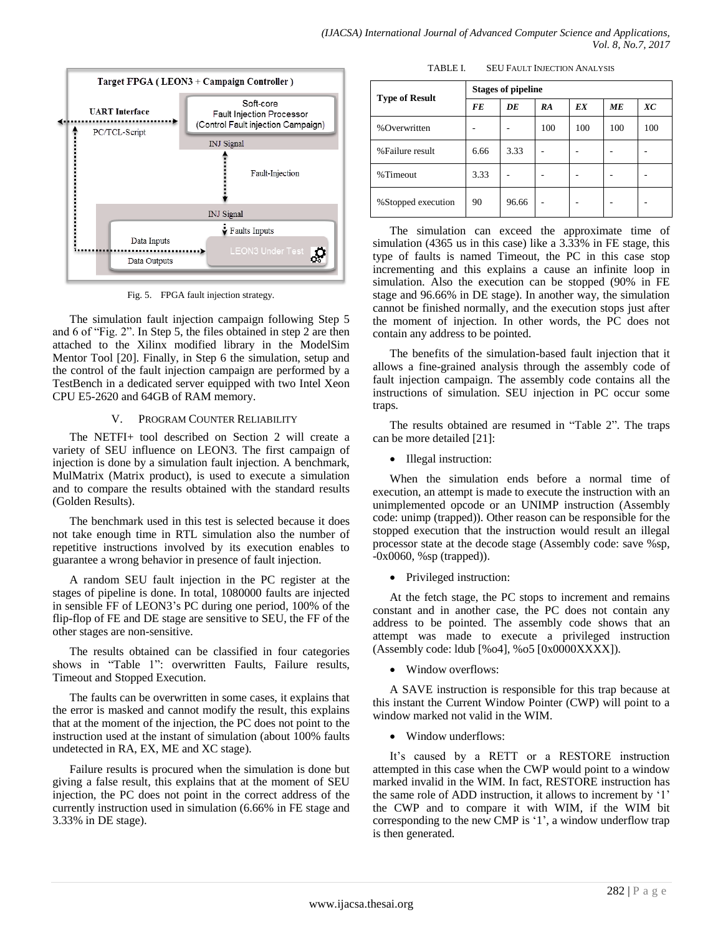

Fig. 5. FPGA fault injection strategy.

The simulation fault injection campaign following Step 5 and 6 of "Fig. 2". In Step 5, the files obtained in step 2 are then attached to the Xilinx modified library in the ModelSim Mentor Tool [20]. Finally, in Step 6 the simulation, setup and the control of the fault injection campaign are performed by a TestBench in a dedicated server equipped with two Intel Xeon CPU E5-2620 and 64GB of RAM memory.

## V. PROGRAM COUNTER RELIABILITY

The NETFI+ tool described on Section 2 will create a variety of SEU influence on LEON3. The first campaign of injection is done by a simulation fault injection. A benchmark, MulMatrix (Matrix product), is used to execute a simulation and to compare the results obtained with the standard results (Golden Results).

The benchmark used in this test is selected because it does not take enough time in RTL simulation also the number of repetitive instructions involved by its execution enables to guarantee a wrong behavior in presence of fault injection.

A random SEU fault injection in the PC register at the stages of pipeline is done. In total, 1080000 faults are injected in sensible FF of LEON3"s PC during one period, 100% of the flip-flop of FE and DE stage are sensitive to SEU, the FF of the other stages are non-sensitive.

The results obtained can be classified in four categories shows in "Table 1": overwritten Faults, Failure results, Timeout and Stopped Execution.

The faults can be overwritten in some cases, it explains that the error is masked and cannot modify the result, this explains that at the moment of the injection, the PC does not point to the instruction used at the instant of simulation (about 100% faults undetected in RA, EX, ME and XC stage).

Failure results is procured when the simulation is done but giving a false result, this explains that at the moment of SEU injection, the PC does not point in the correct address of the currently instruction used in simulation (6.66% in FE stage and 3.33% in DE stage).

TABLE I. SEU FAULT INJECTION ANALYSIS

| <b>Type of Result</b> | <b>Stages of pipeline</b> |       |     |     |     |     |  |
|-----------------------|---------------------------|-------|-----|-----|-----|-----|--|
|                       | FE                        | DE    | RA  | EX  | MЕ  | XC  |  |
| %Overwritten          |                           |       | 100 | 100 | 100 | 100 |  |
| %Failure result       | 6.66                      | 3.33  | ۰   |     |     |     |  |
| %Timeout              | 3.33                      |       |     |     |     |     |  |
| %Stopped execution    | 90                        | 96.66 | ۰   |     |     |     |  |

The simulation can exceed the approximate time of simulation (4365 us in this case) like a 3.33% in FE stage, this type of faults is named Timeout, the PC in this case stop incrementing and this explains a cause an infinite loop in simulation. Also the execution can be stopped (90% in FE stage and 96.66% in DE stage). In another way, the simulation cannot be finished normally, and the execution stops just after the moment of injection. In other words, the PC does not contain any address to be pointed.

The benefits of the simulation-based fault injection that it allows a fine-grained analysis through the assembly code of fault injection campaign. The assembly code contains all the instructions of simulation. SEU injection in PC occur some traps.

The results obtained are resumed in "Table 2". The traps can be more detailed [21]:

• Illegal instruction:

When the simulation ends before a normal time of execution, an attempt is made to execute the instruction with an unimplemented opcode or an UNIMP instruction (Assembly code: unimp (trapped)). Other reason can be responsible for the stopped execution that the instruction would result an illegal processor state at the decode stage (Assembly code: save %sp, -0x0060, %sp (trapped)).

• Privileged instruction:

At the fetch stage, the PC stops to increment and remains constant and in another case, the PC does not contain any address to be pointed. The assembly code shows that an attempt was made to execute a privileged instruction (Assembly code: ldub [%o4], %o5 [0x0000XXXX]).

• Window overflows:

A SAVE instruction is responsible for this trap because at this instant the Current Window Pointer (CWP) will point to a window marked not valid in the WIM.

Window underflows:

It"s caused by a RETT or a RESTORE instruction attempted in this case when the CWP would point to a window marked invalid in the WIM. In fact, RESTORE instruction has the same role of ADD instruction, it allows to increment by "1" the CWP and to compare it with WIM, if the WIM bit corresponding to the new CMP is '1', a window underflow trap is then generated.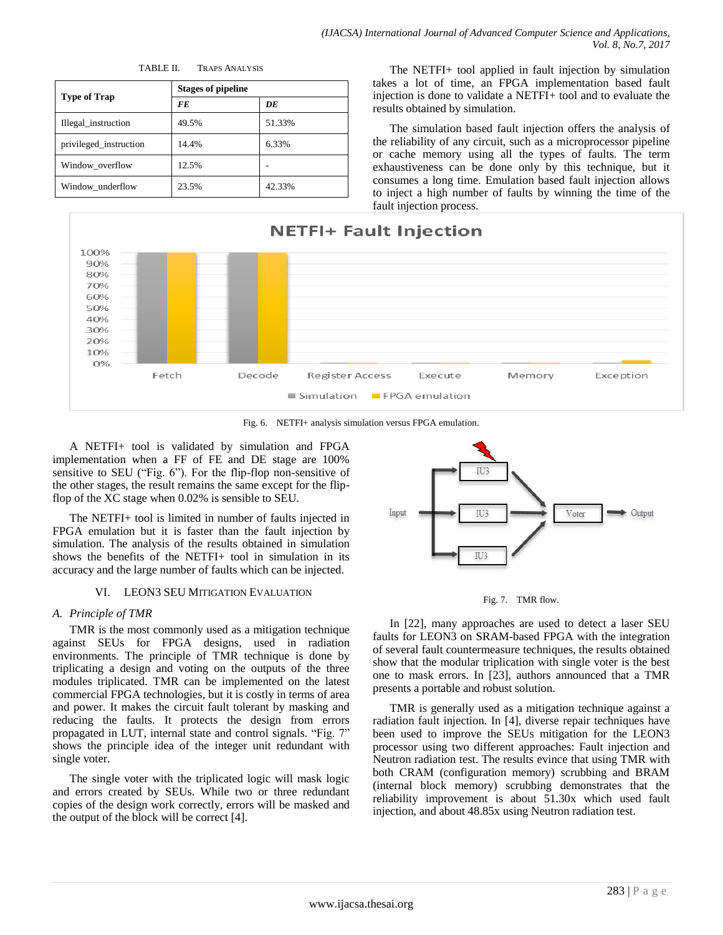|                        | <b>Stages of pipeline</b> |        |  |  |
|------------------------|---------------------------|--------|--|--|
| <b>Type of Trap</b>    | FE                        | DE     |  |  |
| Illegal_instruction    | 49.5%                     | 51.33% |  |  |
| privileged_instruction | 14.4%                     | 6.33%  |  |  |
| Window_overflow        | 12.5%                     |        |  |  |
| Window underflow       | 23.5%                     | 42.33% |  |  |

TABLE II. TRAPS ANALYSIS

The NETFI+ tool applied in fault injection by simulation takes a lot of time, an FPGA implementation based fault injection is done to validate a NETFI+ tool and to evaluate the results obtained by simulation.

The simulation based fault injection offers the analysis of the reliability of any circuit, such as a microprocessor pipeline or cache memory using all the types of faults. The term exhaustiveness can be done only by this technique, but it consumes a long time. Emulation based fault injection allows to inject a high number of faults by winning the time of the fault injection process.



Fig. 6. NETFI+ analysis simulation versus FPGA emulation.

A NETFI+ tool is validated by simulation and FPGA implementation when a FF of FE and DE stage are 100% sensitive to SEU ("Fig. 6"). For the flip-flop non-sensitive of the other stages, the result remains the same except for the flipflop of the XC stage when 0.02% is sensible to SEU.

The NETFI+ tool is limited in number of faults injected in FPGA emulation but it is faster than the fault injection by simulation. The analysis of the results obtained in simulation shows the benefits of the NETFI+ tool in simulation in its accuracy and the large number of faults which can be injected.

# VI. LEON3 SEU MITIGATION EVALUATION

# *A. Principle of TMR*

TMR is the most commonly used as a mitigation technique against SEUs for FPGA designs, used in radiation environments. The principle of TMR technique is done by triplicating a design and voting on the outputs of the three modules triplicated. TMR can be implemented on the latest commercial FPGA technologies, but it is costly in terms of area and power. It makes the circuit fault tolerant by masking and reducing the faults. It protects the design from errors propagated in LUT, internal state and control signals. "Fig. 7" shows the principle idea of the integer unit redundant with single voter.

The single voter with the triplicated logic will mask logic and errors created by SEUs. While two or three redundant copies of the design work correctly, errors will be masked and the output of the block will be correct [4].



Fig. 7. TMR flow.

In [22], many approaches are used to detect a laser SEU faults for LEON3 on SRAM-based FPGA with the integration of several fault countermeasure techniques, the results obtained show that the modular triplication with single voter is the best one to mask errors. In [23], authors announced that a TMR presents a portable and robust solution.

TMR is generally used as a mitigation technique against a radiation fault injection. In [4], diverse repair techniques have been used to improve the SEUs mitigation for the LEON3 processor using two different approaches: Fault injection and Neutron radiation test. The results evince that using TMR with both CRAM (configuration memory) scrubbing and BRAM (internal block memory) scrubbing demonstrates that the reliability improvement is about 51.30x which used fault injection, and about 48.85x using Neutron radiation test.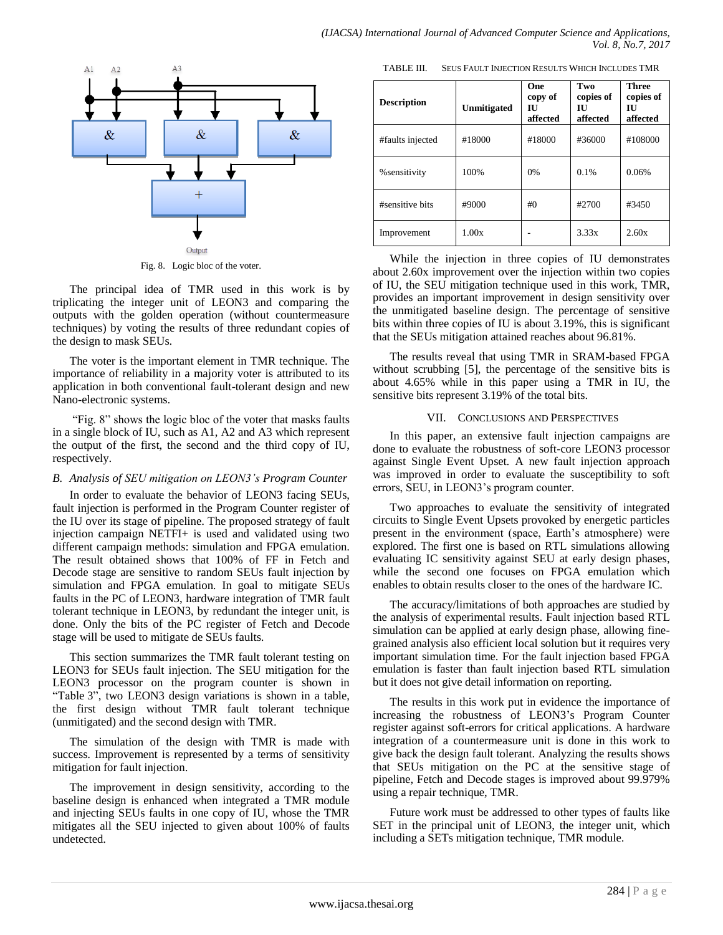

Fig. 8. Logic bloc of the voter.

The principal idea of TMR used in this work is by triplicating the integer unit of LEON3 and comparing the outputs with the golden operation (without countermeasure techniques) by voting the results of three redundant copies of the design to mask SEUs.

The voter is the important element in TMR technique. The importance of reliability in a majority voter is attributed to its application in both conventional fault-tolerant design and new Nano-electronic systems.

"Fig. 8" shows the logic bloc of the voter that masks faults in a single block of IU, such as A1, A2 and A3 which represent the output of the first, the second and the third copy of IU, respectively.

## *B. Analysis of SEU mitigation on LEON3's Program Counter*

In order to evaluate the behavior of LEON3 facing SEUs, fault injection is performed in the Program Counter register of the IU over its stage of pipeline. The proposed strategy of fault injection campaign NETFI+ is used and validated using two different campaign methods: simulation and FPGA emulation. The result obtained shows that 100% of FF in Fetch and Decode stage are sensitive to random SEUs fault injection by simulation and FPGA emulation. In goal to mitigate SEUs faults in the PC of LEON3, hardware integration of TMR fault tolerant technique in LEON3, by redundant the integer unit, is done. Only the bits of the PC register of Fetch and Decode stage will be used to mitigate de SEUs faults.

This section summarizes the TMR fault tolerant testing on LEON3 for SEUs fault injection. The SEU mitigation for the LEON3 processor on the program counter is shown in "Table 3", two LEON3 design variations is shown in a table, the first design without TMR fault tolerant technique (unmitigated) and the second design with TMR.

The simulation of the design with TMR is made with success. Improvement is represented by a terms of sensitivity mitigation for fault injection.

The improvement in design sensitivity, according to the baseline design is enhanced when integrated a TMR module and injecting SEUs faults in one copy of IU, whose the TMR mitigates all the SEU injected to given about 100% of faults undetected.

TABLE III. SEUS FAULT INJECTION RESULTS WHICH INCLUDES TMR

| <b>Description</b> | Unmitigated | One<br>copy of<br>ΙU<br>affected | Two<br>copies of<br>Ш<br>affected | Three<br>copies of<br>Ш<br>affected |
|--------------------|-------------|----------------------------------|-----------------------------------|-------------------------------------|
| #faults injected   | #18000      | #18000                           | #36000                            | #108000                             |
| % sensitivity      | 100%        | 0%                               | 0.1%                              | 0.06%                               |
| #sensitive bits    | #9000       | #()                              | #2700                             | #3450                               |
| Improvement        | 1.00x       |                                  | 3.33x                             | 2.60x                               |

While the injection in three copies of IU demonstrates about 2.60x improvement over the injection within two copies of IU, the SEU mitigation technique used in this work, TMR, provides an important improvement in design sensitivity over the unmitigated baseline design. The percentage of sensitive bits within three copies of IU is about 3.19%, this is significant that the SEUs mitigation attained reaches about 96.81%.

The results reveal that using TMR in SRAM-based FPGA without scrubbing [5], the percentage of the sensitive bits is about 4.65% while in this paper using a TMR in IU, the sensitive bits represent 3.19% of the total bits.

#### VII. CONCLUSIONS AND PERSPECTIVES

In this paper, an extensive fault injection campaigns are done to evaluate the robustness of soft-core LEON3 processor against Single Event Upset. A new fault injection approach was improved in order to evaluate the susceptibility to soft errors, SEU, in LEON3"s program counter.

Two approaches to evaluate the sensitivity of integrated circuits to Single Event Upsets provoked by energetic particles present in the environment (space, Earth's atmosphere) were explored. The first one is based on RTL simulations allowing evaluating IC sensitivity against SEU at early design phases, while the second one focuses on FPGA emulation which enables to obtain results closer to the ones of the hardware IC.

The accuracy/limitations of both approaches are studied by the analysis of experimental results. Fault injection based RTL simulation can be applied at early design phase, allowing finegrained analysis also efficient local solution but it requires very important simulation time. For the fault injection based FPGA emulation is faster than fault injection based RTL simulation but it does not give detail information on reporting.

The results in this work put in evidence the importance of increasing the robustness of LEON3"s Program Counter register against soft-errors for critical applications. A hardware integration of a countermeasure unit is done in this work to give back the design fault tolerant. Analyzing the results shows that SEUs mitigation on the PC at the sensitive stage of pipeline, Fetch and Decode stages is improved about 99.979% using a repair technique, TMR.

Future work must be addressed to other types of faults like SET in the principal unit of LEON3, the integer unit, which including a SETs mitigation technique, TMR module.